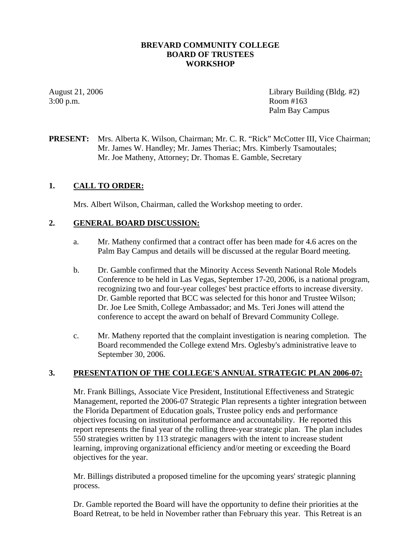## **BREVARD COMMUNITY COLLEGE BOARD OF TRUSTEES WORKSHOP**

3:00 p.m. Room #163

August 21, 2006 Library Building (Bldg. #2) Palm Bay Campus

**PRESENT:** Mrs. Alberta K. Wilson, Chairman; Mr. C. R. "Rick" McCotter III, Vice Chairman; Mr. James W. Handley; Mr. James Theriac; Mrs. Kimberly Tsamoutales; Mr. Joe Matheny, Attorney; Dr. Thomas E. Gamble, Secretary

# **1. CALL TO ORDER:**

Mrs. Albert Wilson, Chairman, called the Workshop meeting to order.

### **2. GENERAL BOARD DISCUSSION:**

- a. Mr. Matheny confirmed that a contract offer has been made for 4.6 acres on the Palm Bay Campus and details will be discussed at the regular Board meeting.
- b. Dr. Gamble confirmed that the Minority Access Seventh National Role Models Conference to be held in Las Vegas, September 17-20, 2006, is a national program, recognizing two and four-year colleges' best practice efforts to increase diversity. Dr. Gamble reported that BCC was selected for this honor and Trustee Wilson; Dr. Joe Lee Smith, College Ambassador; and Ms. Teri Jones will attend the conference to accept the award on behalf of Brevard Community College.
- c. Mr. Matheny reported that the complaint investigation is nearing completion. The Board recommended the College extend Mrs. Oglesby's administrative leave to September 30, 2006.

### **3. PRESENTATION OF THE COLLEGE'S ANNUAL STRATEGIC PLAN 2006-07:**

Mr. Frank Billings, Associate Vice President, Institutional Effectiveness and Strategic Management, reported the 2006-07 Strategic Plan represents a tighter integration between the Florida Department of Education goals, Trustee policy ends and performance objectives focusing on institutional performance and accountability. He reported this report represents the final year of the rolling three-year strategic plan. The plan includes 550 strategies written by 113 strategic managers with the intent to increase student learning, improving organizational efficiency and/or meeting or exceeding the Board objectives for the year.

Mr. Billings distributed a proposed timeline for the upcoming years' strategic planning process.

Dr. Gamble reported the Board will have the opportunity to define their priorities at the Board Retreat, to be held in November rather than February this year. This Retreat is an